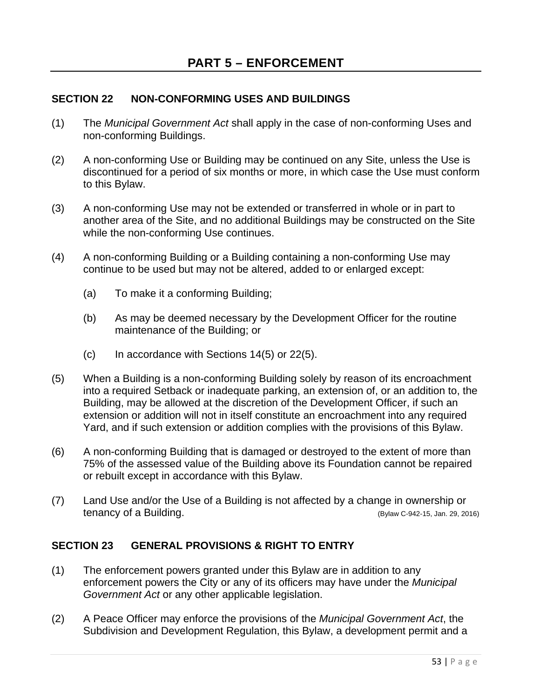# **SECTION 22 NON-CONFORMING USES AND BUILDINGS**

- (1) The *Municipal Government Act* shall apply in the case of non-conforming Uses and non-conforming Buildings.
- (2) A non-conforming Use or Building may be continued on any Site, unless the Use is discontinued for a period of six months or more, in which case the Use must conform to this Bylaw.
- (3) A non-conforming Use may not be extended or transferred in whole or in part to another area of the Site, and no additional Buildings may be constructed on the Site while the non-conforming Use continues.
- (4) A non-conforming Building or a Building containing a non-conforming Use may continue to be used but may not be altered, added to or enlarged except:
	- (a) To make it a conforming Building;
	- (b) As may be deemed necessary by the Development Officer for the routine maintenance of the Building; or
	- $(c)$  In accordance with Sections 14(5) or 22(5).
- (5) When a Building is a non-conforming Building solely by reason of its encroachment into a required Setback or inadequate parking, an extension of, or an addition to, the Building, may be allowed at the discretion of the Development Officer, if such an extension or addition will not in itself constitute an encroachment into any required Yard, and if such extension or addition complies with the provisions of this Bylaw.
- (6) A non-conforming Building that is damaged or destroyed to the extent of more than 75% of the assessed value of the Building above its Foundation cannot be repaired or rebuilt except in accordance with this Bylaw.
- (7) Land Use and/or the Use of a Building is not affected by a change in ownership or tenancy of a Building. The state of the state of the state of the state of the state of the state of the state of the state of the state of the state of the state of the state of the state of the state of the state of the

## **SECTION 23 GENERAL PROVISIONS & RIGHT TO ENTRY**

- (1) The enforcement powers granted under this Bylaw are in addition to any enforcement powers the City or any of its officers may have under the *Municipal Government Act* or any other applicable legislation.
- (2) A Peace Officer may enforce the provisions of the *Municipal Government Act*, the Subdivision and Development Regulation, this Bylaw, a development permit and a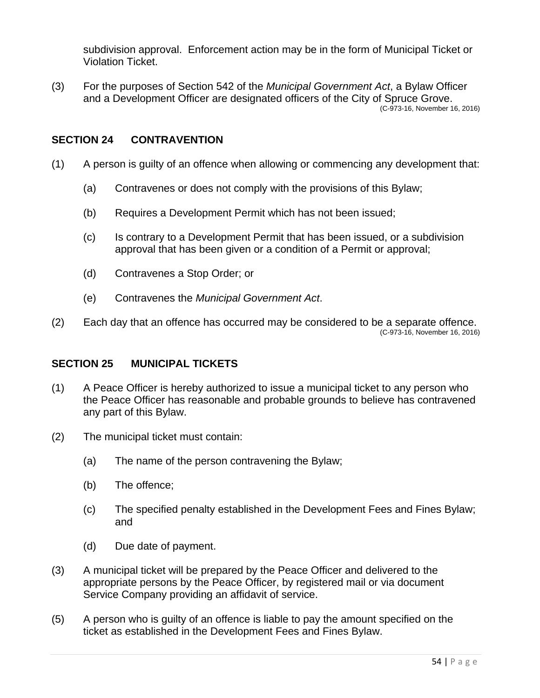subdivision approval. Enforcement action may be in the form of Municipal Ticket or Violation Ticket.

(3) For the purposes of Section 542 of the *Municipal Government Act*, a Bylaw Officer and a Development Officer are designated officers of the City of Spruce Grove. (C-973-16, November 16, 2016)

## **SECTION 24 CONTRAVENTION**

- (1) A person is guilty of an offence when allowing or commencing any development that:
	- (a) Contravenes or does not comply with the provisions of this Bylaw;
	- (b) Requires a Development Permit which has not been issued;
	- (c) Is contrary to a Development Permit that has been issued, or a subdivision approval that has been given or a condition of a Permit or approval;
	- (d) Contravenes a Stop Order; or
	- (e) Contravenes the *Municipal Government Act*.
- (2) Each day that an offence has occurred may be considered to be a separate offence. (C-973-16, November 16, 2016)

### **SECTION 25 MUNICIPAL TICKETS**

- (1) A Peace Officer is hereby authorized to issue a municipal ticket to any person who the Peace Officer has reasonable and probable grounds to believe has contravened any part of this Bylaw.
- (2) The municipal ticket must contain:
	- (a) The name of the person contravening the Bylaw;
	- (b) The offence;
	- (c) The specified penalty established in the Development Fees and Fines Bylaw; and
	- (d) Due date of payment.
- (3) A municipal ticket will be prepared by the Peace Officer and delivered to the appropriate persons by the Peace Officer, by registered mail or via document Service Company providing an affidavit of service.
- (5) A person who is guilty of an offence is liable to pay the amount specified on the ticket as established in the Development Fees and Fines Bylaw.